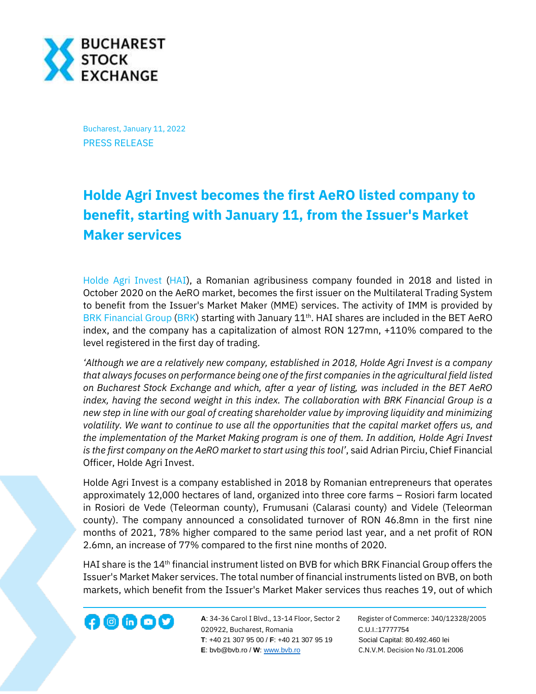

Bucharest, January 11, 2022 PRESS RELEASE

## **Holde Agri Invest becomes the first AeRO listed company to benefit, starting with January 11, from the Issuer's Market Maker services**

[Holde Agri Invest](https://holde.eu/) [\(HAI\)](https://bvb.ro/FinancialInstruments/Details/FinancialInstrumentsDetails.aspx?s=HAI), a Romanian agribusiness company founded in 2018 and listed in October 2020 on the AeRO market, becomes the first issuer on the Multilateral Trading System to benefit from the Issuer's Market Maker (MME) services. The activity of IMM is provided by [BRK Financial Group](https://www.brk.ro/) [\(BRK\)](https://bvb.ro/FinancialInstruments/Details/FinancialInstrumentsDetails.aspx?s=brk) starting with January 11<sup>th</sup>. HAI shares are included in the BET AeRO index, and the company has a capitalization of almost RON 127mn, +110% compared to the level registered in the first day of trading.

*'Although we are a relatively new company, established in 2018, Holde Agri Invest is a company that always focuses on performance being one of the first companies in the agricultural field listed on Bucharest Stock Exchange and which, after a year of listing, was included in the BET AeRO index, having the second weight in this index. The collaboration with BRK Financial Group is a new step in line with our goal of creating shareholder value by improving liquidity and minimizing volatility. We want to continue to use all the opportunities that the capital market offers us, and the implementation of the Market Making program is one of them. In addition, Holde Agri Invest is the first company on the AeRO market to start using this tool'*, said Adrian Pirciu, Chief Financial Officer, Holde Agri Invest.

Holde Agri Invest is a company established in 2018 by Romanian entrepreneurs that operates approximately 12,000 hectares of land, organized into three core farms – Rosiori farm located in Rosiori de Vede (Teleorman county), Frumusani (Calarasi county) and Videle (Teleorman county). The company announced a consolidated turnover of RON 46.8mn in the first nine months of 2021, 78% higher compared to the same period last year, and a net profit of RON 2.6mn, an increase of 77% compared to the first nine months of 2020.

HAI share is the 14<sup>th</sup> financial instrument listed on BVB for which BRK Financial Group offers the Issuer's Market Maker services. The total number of financial instruments listed on BVB, on both markets, which benefit from the Issuer's Market Maker services thus reaches 19, out of which

**A**: 34-36 Carol I Blvd., 13-14 Floor, Sector 2 Register of Commerce: J40/12328/2005 020922, Bucharest, Romania C.U.I.:17777754  **T**: +40 21 307 95 00 / **F**: +40 21 307 95 19 Social Capital: 80.492.460 lei **E**: bvb@bvb.ro / **W**[: www.bvb.ro](http://www.bvb.ro/) C.N.V.M. Decision No /31.01.2006